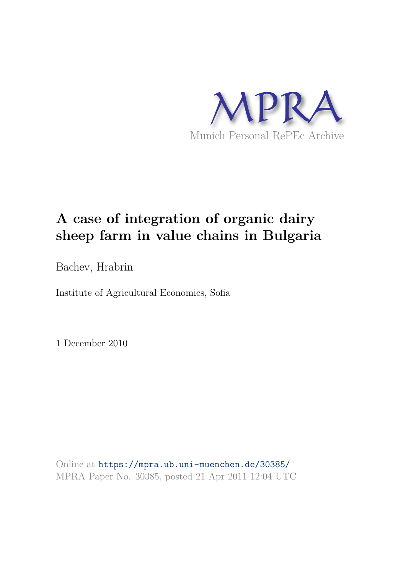

# **A case of integration of organic dairy sheep farm in value chains in Bulgaria**

Bachev, Hrabrin

Institute of Agricultural Economics, Sofia

1 December 2010

Online at https://mpra.ub.uni-muenchen.de/30385/ MPRA Paper No. 30385, posted 21 Apr 2011 12:04 UTC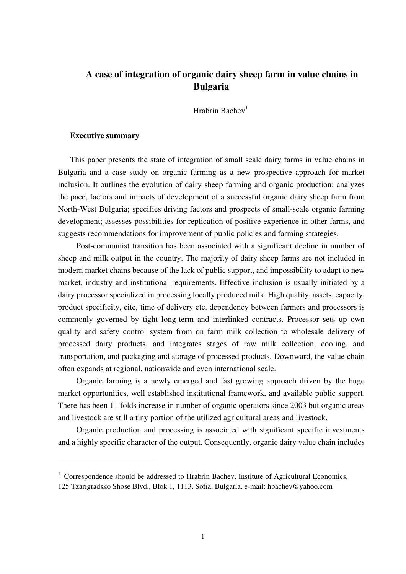## **A case of integration of organic dairy sheep farm in value chains in Bulgaria**

Hrabrin Bachev<sup>1</sup>

#### **Executive summary**

This paper presents the state of integration of small scale dairy farms in value chains in Bulgaria and a case study on organic farming as a new prospective approach for market inclusion. It outlines the evolution of dairy sheep farming and organic production; analyzes the pace, factors and impacts of development of a successful organic dairy sheep farm from North-West Bulgaria; specifies driving factors and prospects of small-scale organic farming development; assesses possibilities for replication of positive experience in other farms, and suggests recommendations for improvement of public policies and farming strategies.

Post-communist transition has been associated with a significant decline in number of sheep and milk output in the country. The majority of dairy sheep farms are not included in modern market chains because of the lack of public support, and impossibility to adapt to new market, industry and institutional requirements. Effective inclusion is usually initiated by a dairy processor specialized in processing locally produced milk. High quality, assets, capacity, product specificity, cite, time of delivery etc. dependency between farmers and processors is commonly governed by tight long-term and interlinked contracts. Processor sets up own quality and safety control system from on farm milk collection to wholesale delivery of processed dairy products, and integrates stages of raw milk collection, cooling, and transportation, and packaging and storage of processed products. Downward, the value chain often expands at regional, nationwide and even international scale.

Organic farming is a newly emerged and fast growing approach driven by the huge market opportunities, well established institutional framework, and available public support. There has been 11 folds increase in number of organic operators since 2003 but organic areas and livestock are still a tiny portion of the utilized agricultural areas and livestock.

Organic production and processing is associated with significant specific investments and a highly specific character of the output. Consequently, organic dairy value chain includes

<sup>&</sup>lt;sup>1</sup> Correspondence should be addressed to Hrabrin Bachev, Institute of Agricultural Economics,

<sup>125</sup> Tzarigradsko Shose Blvd., Blok 1, 1113, Sofia, Bulgaria, e-mail: hbachev@yahoo.com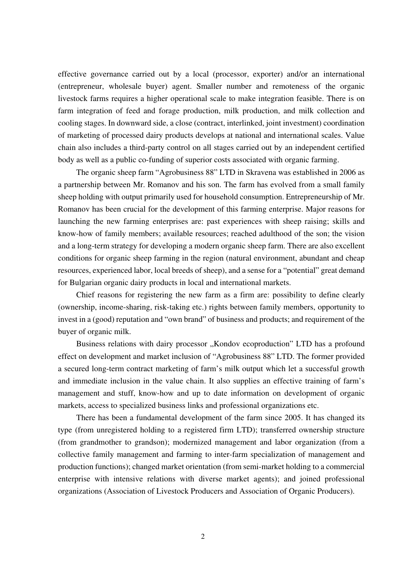effective governance carried out by a local (processor, exporter) and/or an international (entrepreneur, wholesale buyer) agent. Smaller number and remoteness of the organic livestock farms requires a higher operational scale to make integration feasible. There is on farm integration of feed and forage production, milk production, and milk collection and cooling stages. In downward side, a close (contract, interlinked, joint investment) coordination of marketing of processed dairy products develops at national and international scales. Value chain also includes a third-party control on all stages carried out by an independent certified body as well as a public co-funding of superior costs associated with organic farming.

The organic sheep farm "Agrobusiness 88" LTD in Skravena was established in 2006 as a partnership between Mr. Romanov and his son. The farm has evolved from a small family sheep holding with output primarily used for household consumption. Entrepreneurship of Mr. Romanov has been crucial for the development of this farming enterprise. Major reasons for launching the new farming enterprises are: past experiences with sheep raising; skills and know-how of family members; available resources; reached adulthood of the son; the vision and a long-term strategy for developing a modern organic sheep farm. There are also excellent conditions for organic sheep farming in the region (natural environment, abundant and cheap resources, experienced labor, local breeds of sheep), and a sense for a "potential" great demand for Bulgarian organic dairy products in local and international markets.

Chief reasons for registering the new farm as a firm are: possibility to define clearly (ownership, income-sharing, risk-taking etc.) rights between family members, opportunity to invest in a (good) reputation and "own brand" of business and products; and requirement of the buyer of organic milk.

Business relations with dairy processor "Kondov ecoproduction" LTD has a profound effect on development and market inclusion of "Agrobusiness 88" LTD. The former provided a secured long-term contract marketing of farm's milk output which let a successful growth and immediate inclusion in the value chain. It also supplies an effective training of farm's management and stuff, know-how and up to date information on development of organic markets, access to specialized business links and professional organizations etc.

There has been a fundamental development of the farm since 2005. It has changed its type (from unregistered holding to a registered firm LTD); transferred ownership structure (from grandmother to grandson); modernized management and labor organization (from a collective family management and farming to inter-farm specialization of management and production functions); changed market orientation (from semi-market holding to a commercial enterprise with intensive relations with diverse market agents); and joined professional organizations (Association of Livestock Producers and Association of Organic Producers).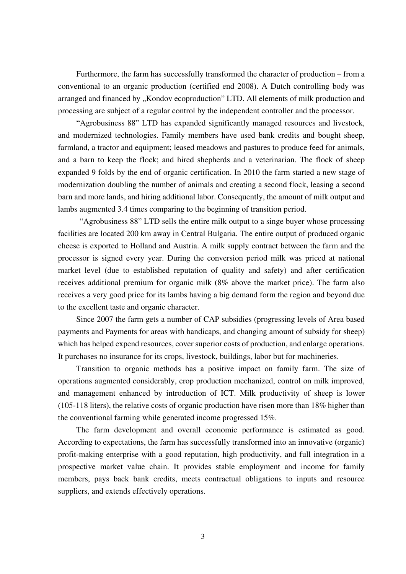Furthermore, the farm has successfully transformed the character of production – from a conventional to an organic production (certified end 2008). A Dutch controlling body was arranged and financed by "Kondov ecoproduction" LTD. All elements of milk production and processing are subject of a regular control by the independent controller and the processor.

"Agrobusiness 88" LTD has expanded significantly managed resources and livestock, and modernized technologies. Family members have used bank credits and bought sheep, farmland, a tractor and equipment; leased meadows and pastures to produce feed for animals, and a barn to keep the flock; and hired shepherds and a veterinarian. The flock of sheep expanded 9 folds by the end of organic certification. In 2010 the farm started a new stage of modernization doubling the number of animals and creating a second flock, leasing a second barn and more lands, and hiring additional labor. Consequently, the amount of milk output and lambs augmented 3.4 times comparing to the beginning of transition period.

 "Agrobusiness 88" LTD sells the entire milk output to a singe buyer whose processing facilities are located 200 km away in Central Bulgaria. The entire output of produced organic cheese is exported to Holland and Austria. A milk supply contract between the farm and the processor is signed every year. During the conversion period milk was priced at national market level (due to established reputation of quality and safety) and after certification receives additional premium for organic milk (8% above the market price). The farm also receives a very good price for its lambs having a big demand form the region and beyond due to the excellent taste and organic character.

Since 2007 the farm gets a number of CAP subsidies (progressing levels of Area based payments and Payments for areas with handicaps, and changing amount of subsidy for sheep) which has helped expend resources, cover superior costs of production, and enlarge operations. It purchases no insurance for its crops, livestock, buildings, labor but for machineries.

Transition to organic methods has a positive impact on family farm. The size of operations augmented considerably, crop production mechanized, control on milk improved, and management enhanced by introduction of ICT. Milk productivity of sheep is lower (105-118 liters), the relative costs of organic production have risen more than 18% higher than the conventional farming while generated income progressed 15%.

The farm development and overall economic performance is estimated as good. According to expectations, the farm has successfully transformed into an innovative (organic) profit-making enterprise with a good reputation, high productivity, and full integration in a prospective market value chain. It provides stable employment and income for family members, pays back bank credits, meets contractual obligations to inputs and resource suppliers, and extends effectively operations.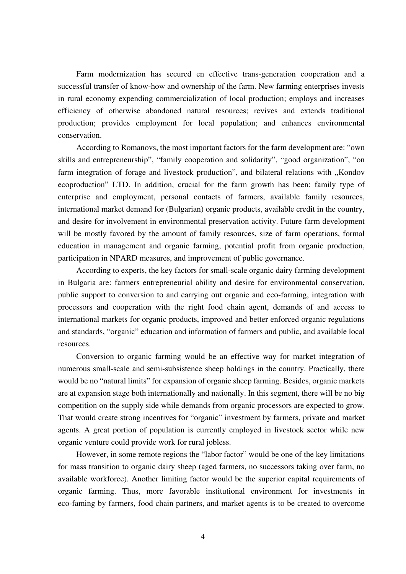Farm modernization has secured en effective trans-generation cooperation and a successful transfer of know-how and ownership of the farm. New farming enterprises invests in rural economy expending commercialization of local production; employs and increases efficiency of otherwise abandoned natural resources; revives and extends traditional production; provides employment for local population; and enhances environmental conservation.

According to Romanovs, the most important factors for the farm development are: "own skills and entrepreneurship", "family cooperation and solidarity", "good organization", "on farm integration of forage and livestock production", and bilateral relations with "Kondov ecoproduction" LTD. In addition, crucial for the farm growth has been: family type of enterprise and employment, personal contacts of farmers, available family resources, international market demand for (Bulgarian) organic products, available credit in the country, and desire for involvement in environmental preservation activity. Future farm development will be mostly favored by the amount of family resources, size of farm operations, formal education in management and organic farming, potential profit from organic production, participation in NPARD measures, and improvement of public governance.

According to experts, the key factors for small-scale organic dairy farming development in Bulgaria are: farmers entrepreneurial ability and desire for environmental conservation, public support to conversion to and carrying out organic and eco-farming, integration with processors and cooperation with the right food chain agent, demands of and access to international markets for organic products, improved and better enforced organic regulations and standards, "organic" education and information of farmers and public, and available local resources.

Conversion to organic farming would be an effective way for market integration of numerous small-scale and semi-subsistence sheep holdings in the country. Practically, there would be no "natural limits" for expansion of organic sheep farming. Besides, organic markets are at expansion stage both internationally and nationally. In this segment, there will be no big competition on the supply side while demands from organic processors are expected to grow. That would create strong incentives for "organic" investment by farmers, private and market agents. A great portion of population is currently employed in livestock sector while new organic venture could provide work for rural jobless.

However, in some remote regions the "labor factor" would be one of the key limitations for mass transition to organic dairy sheep (aged farmers, no successors taking over farm, no available workforce). Another limiting factor would be the superior capital requirements of organic farming. Thus, more favorable institutional environment for investments in eco-faming by farmers, food chain partners, and market agents is to be created to overcome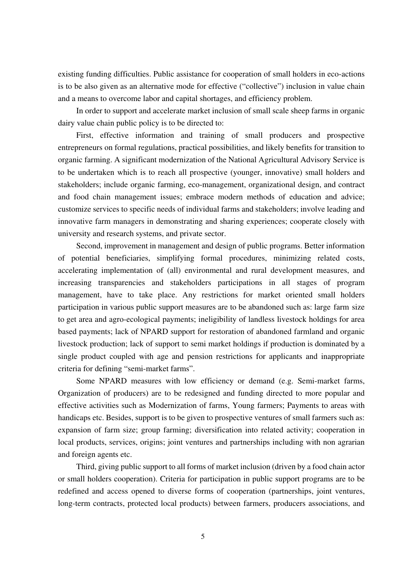existing funding difficulties. Public assistance for cooperation of small holders in eco-actions is to be also given as an alternative mode for effective ("collective") inclusion in value chain and a means to overcome labor and capital shortages, and efficiency problem.

In order to support and accelerate market inclusion of small scale sheep farms in organic dairy value chain public policy is to be directed to:

First, effective information and training of small producers and prospective entrepreneurs on formal regulations, practical possibilities, and likely benefits for transition to organic farming. A significant modernization of the National Agricultural Advisory Service is to be undertaken which is to reach all prospective (younger, innovative) small holders and stakeholders; include organic farming, eco-management, organizational design, and contract and food chain management issues; embrace modern methods of education and advice; customize services to specific needs of individual farms and stakeholders; involve leading and innovative farm managers in demonstrating and sharing experiences; cooperate closely with university and research systems, and private sector.

Second, improvement in management and design of public programs. Better information of potential beneficiaries, simplifying formal procedures, minimizing related costs, accelerating implementation of (all) environmental and rural development measures, and increasing transparencies and stakeholders participations in all stages of program management, have to take place. Any restrictions for market oriented small holders participation in various public support measures are to be abandoned such as: large farm size to get area and agro-ecological payments; ineligibility of landless livestock holdings for area based payments; lack of NPARD support for restoration of abandoned farmland and organic livestock production; lack of support to semi market holdings if production is dominated by a single product coupled with age and pension restrictions for applicants and inappropriate criteria for defining "semi-market farms".

Some NPARD measures with low efficiency or demand (e.g. Semi-market farms, Organization of producers) are to be redesigned and funding directed to more popular and effective activities such as Modernization of farms, Young farmers; Payments to areas with handicaps etc. Besides, support is to be given to prospective ventures of small farmers such as: expansion of farm size; group farming; diversification into related activity; cooperation in local products, services, origins; joint ventures and partnerships including with non agrarian and foreign agents etc.

Third, giving public support to all forms of market inclusion (driven by a food chain actor or small holders cooperation). Criteria for participation in public support programs are to be redefined and access opened to diverse forms of cooperation (partnerships, joint ventures, long-term contracts, protected local products) between farmers, producers associations, and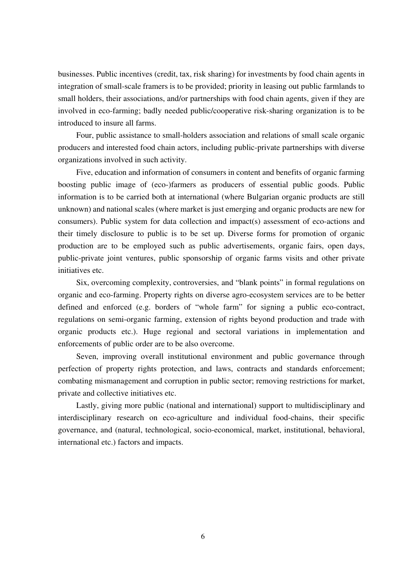businesses. Public incentives (credit, tax, risk sharing) for investments by food chain agents in integration of small-scale framers is to be provided; priority in leasing out public farmlands to small holders, their associations, and/or partnerships with food chain agents, given if they are involved in eco-farming; badly needed public/cooperative risk-sharing organization is to be introduced to insure all farms.

Four, public assistance to small-holders association and relations of small scale organic producers and interested food chain actors, including public-private partnerships with diverse organizations involved in such activity.

Five, education and information of consumers in content and benefits of organic farming boosting public image of (eco-)farmers as producers of essential public goods. Public information is to be carried both at international (where Bulgarian organic products are still unknown) and national scales (where market is just emerging and organic products are new for consumers). Public system for data collection and impact(s) assessment of eco-actions and their timely disclosure to public is to be set up. Diverse forms for promotion of organic production are to be employed such as public advertisements, organic fairs, open days, public-private joint ventures, public sponsorship of organic farms visits and other private initiatives etc.

Six, overcoming complexity, controversies, and "blank points" in formal regulations on organic and eco-farming. Property rights on diverse agro-ecosystem services are to be better defined and enforced (e.g. borders of "whole farm" for signing a public eco-contract, regulations on semi-organic farming, extension of rights beyond production and trade with organic products etc.). Huge regional and sectoral variations in implementation and enforcements of public order are to be also overcome.

Seven, improving overall institutional environment and public governance through perfection of property rights protection, and laws, contracts and standards enforcement; combating mismanagement and corruption in public sector; removing restrictions for market, private and collective initiatives etc.

Lastly, giving more public (national and international) support to multidisciplinary and interdisciplinary research on eco-agriculture and individual food-chains, their specific governance, and (natural, technological, socio-economical, market, institutional, behavioral, international etc.) factors and impacts.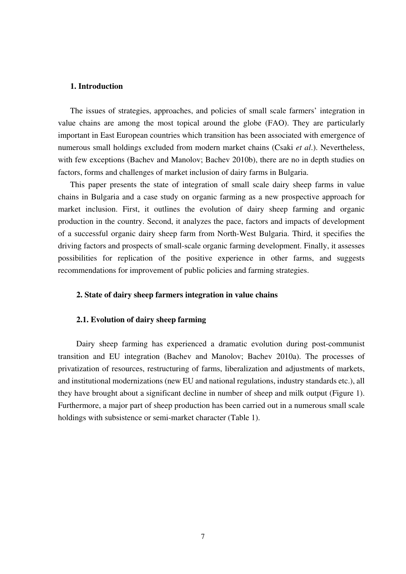#### **1. Introduction**

The issues of strategies, approaches, and policies of small scale farmers' integration in value chains are among the most topical around the globe (FAO). They are particularly important in East European countries which transition has been associated with emergence of numerous small holdings excluded from modern market chains (Csaki *et al*.). Nevertheless, with few exceptions (Bachev and Manolov; Bachev 2010b), there are no in depth studies on factors, forms and challenges of market inclusion of dairy farms in Bulgaria.

This paper presents the state of integration of small scale dairy sheep farms in value chains in Bulgaria and a case study on organic farming as a new prospective approach for market inclusion. First, it outlines the evolution of dairy sheep farming and organic production in the country. Second, it analyzes the pace, factors and impacts of development of a successful organic dairy sheep farm from North-West Bulgaria. Third, it specifies the driving factors and prospects of small-scale organic farming development. Finally, it assesses possibilities for replication of the positive experience in other farms, and suggests recommendations for improvement of public policies and farming strategies.

#### **2. State of dairy sheep farmers integration in value chains**

#### **2.1. Evolution of dairy sheep farming**

Dairy sheep farming has experienced a dramatic evolution during post-communist transition and EU integration (Bachev and Manolov; Bachev 2010a). The processes of privatization of resources, restructuring of farms, liberalization and adjustments of markets, and institutional modernizations (new EU and national regulations, industry standards etc.), all they have brought about a significant decline in number of sheep and milk output (Figure 1). Furthermore, a major part of sheep production has been carried out in a numerous small scale holdings with subsistence or semi-market character (Table 1).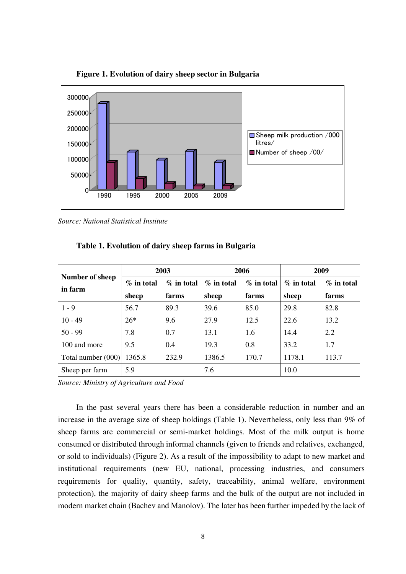

**Figure 1. Evolution of dairy sheep sector in Bulgaria** 

*Source: National Statistical Institute* 

|                            | 2003          |              | 2006          |               | 2009          |              |
|----------------------------|---------------|--------------|---------------|---------------|---------------|--------------|
| Number of sheep<br>in farm | $\%$ in total | $%$ in total | $\%$ in total | $\%$ in total | $\%$ in total | $%$ in total |
|                            | sheep         | farms        | sheep         | farms         | sheep         | farms        |
| $1 - 9$                    | 56.7          | 89.3         | 39.6          | 85.0          | 29.8          | 82.8         |
| $10 - 49$                  | $26*$         | 9.6          | 27.9          | 12.5          | 22.6          | 13.2         |
| $50 - 99$                  | 7.8           | 0.7          | 13.1          | 1.6           | 14.4          | 2.2          |
| 100 and more               | 9.5           | 0.4          | 19.3          | 0.8           | 33.2          | 1.7          |
| Total number (000)         | 1365.8        | 232.9        | 1386.5        | 170.7         | 1178.1        | 113.7        |
| Sheep per farm             | 5.9           |              | 7.6           |               | 10.0          |              |

**Table 1. Evolution of dairy sheep farms in Bulgaria** 

*Source: Ministry of Agriculture and Food* 

In the past several years there has been a considerable reduction in number and an increase in the average size of sheep holdings (Table 1). Nevertheless, only less than 9% of sheep farms are commercial or semi-market holdings. Most of the milk output is home consumed or distributed through informal channels (given to friends and relatives, exchanged, or sold to individuals) (Figure 2). As a result of the impossibility to adapt to new market and institutional requirements (new EU, national, processing industries, and consumers requirements for quality, quantity, safety, traceability, animal welfare, environment protection), the majority of dairy sheep farms and the bulk of the output are not included in modern market chain (Bachev and Manolov). The later has been further impeded by the lack of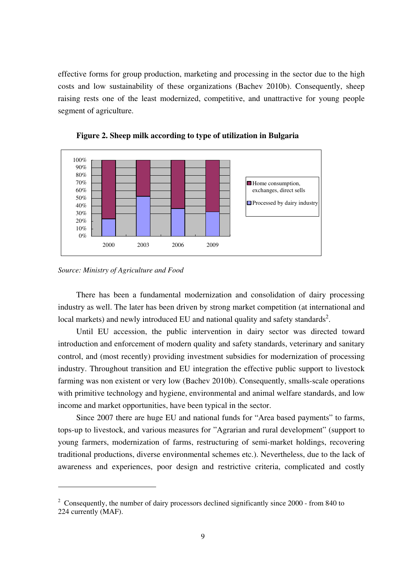effective forms for group production, marketing and processing in the sector due to the high costs and low sustainability of these organizations (Bachev 2010b). Consequently, sheep raising rests one of the least modernized, competitive, and unattractive for young people segment of agriculture.





There has been a fundamental modernization and consolidation of dairy processing industry as well. The later has been driven by strong market competition (at international and local markets) and newly introduced EU and national quality and safety standards<sup>2</sup>.

Until EU accession, the public intervention in dairy sector was directed toward introduction and enforcement of modern quality and safety standards, veterinary and sanitary control, and (most recently) providing investment subsidies for modernization of processing industry. Throughout transition and EU integration the effective public support to livestock farming was non existent or very low (Bachev 2010b). Consequently, smalls-scale operations with primitive technology and hygiene, environmental and animal welfare standards, and low income and market opportunities, have been typical in the sector.

Since 2007 there are huge EU and national funds for "Area based payments" to farms, tops-up to livestock, and various measures for "Agrarian and rural development" (support to young farmers, modernization of farms, restructuring of semi-market holdings, recovering traditional productions, diverse environmental schemes etc.). Nevertheless, due to the lack of awareness and experiences, poor design and restrictive criteria, complicated and costly

*Source: Ministry of Agriculture and Food* 

<sup>&</sup>lt;sup>2</sup> Consequently, the number of dairy processors declined significantly since  $2000$  - from 840 to 224 currently (MAF).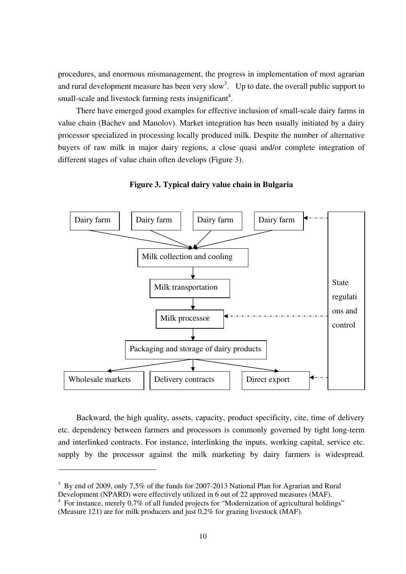procedures, and enormous mismanagement, the progress in implementation of most agrarian and rural development measure has been very slow<sup>3</sup>. Up to date, the overall public support to small-scale and livestock farming rests insignificant<sup>4</sup>.

There have emerged good examples for effective inclusion of small-scale dairy farms in value chain (Bachev and Manolov). Market integration has been usually initiated by a dairy processor specialized in processing locally produced milk. Despite the number of alternative buyers of raw milk in major dairy regions, a close quasi and/or complete integration of different stages of value chain often develops (Figure 3).



**Figure 3. Typical dairy value chain in Bulgaria** 

Backward, the high quality, assets, capacity, product specificity, cite, time of delivery etc. dependency between farmers and processors is commonly governed by tight long-term and interlinked contracts. For instance, interlinking the inputs, working capital, service etc. supply by the processor against the milk marketing by dairy farmers is widespread.

<sup>&</sup>lt;sup>3</sup> By end of 2009, only 7,5% of the funds for 2007-2013 National Plan for Agrarian and Rural Development (NPARD) were effectively utilized in 6 out of 22 approved measures (MAF).

<sup>&</sup>lt;sup>4</sup> For instance, merely 0,7% of all funded projects for "Modernization of agricultural holdings" (Measure 121) are for milk producers and just 0,2% for grazing livestock (MAF).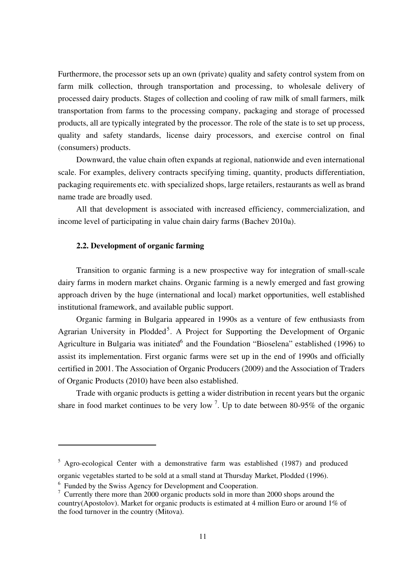Furthermore, the processor sets up an own (private) quality and safety control system from on farm milk collection, through transportation and processing, to wholesale delivery of processed dairy products. Stages of collection and cooling of raw milk of small farmers, milk transportation from farms to the processing company, packaging and storage of processed products, all are typically integrated by the processor. The role of the state is to set up process, quality and safety standards, license dairy processors, and exercise control on final (consumers) products.

Downward, the value chain often expands at regional, nationwide and even international scale. For examples, delivery contracts specifying timing, quantity, products differentiation, packaging requirements etc. with specialized shops, large retailers, restaurants as well as brand name trade are broadly used.

All that development is associated with increased efficiency, commercialization, and income level of participating in value chain dairy farms (Bachev 2010a).

#### **2.2. Development of organic farming**

Transition to organic farming is a new prospective way for integration of small-scale dairy farms in modern market chains. Organic farming is a newly emerged and fast growing approach driven by the huge (international and local) market opportunities, well established institutional framework, and available public support.

Organic farming in Bulgaria appeared in 1990s as a venture of few enthusiasts from Agrarian University in Plodded<sup>5</sup>. A Project for Supporting the Development of Organic Agriculture in Bulgaria was initiated<sup>6</sup> and the Foundation "Bioselena" established (1996) to assist its implementation. First organic farms were set up in the end of 1990s and officially certified in 2001. The Association of Organic Producers (2009) and the Association of Traders of Organic Products (2010) have been also established.

Trade with organic products is getting a wider distribution in recent years but the organic share in food market continues to be very low<sup>7</sup>. Up to date between 80-95% of the organic

<sup>&</sup>lt;sup>5</sup> Agro-ecological Center with a demonstrative farm was established (1987) and produced organic vegetables started to be sold at a small stand at Thursday Market, Plodded (1996).

<sup>&</sup>lt;sup>6</sup> Funded by the Swiss Agency for Development and Cooperation.

 $\frac{7}{1}$  Currently there more than 2000 organic products sold in more than 2000 shops around the country(Apostolov). Market for organic products is estimated at 4 million Euro or around 1% of the food turnover in the country (Mitova).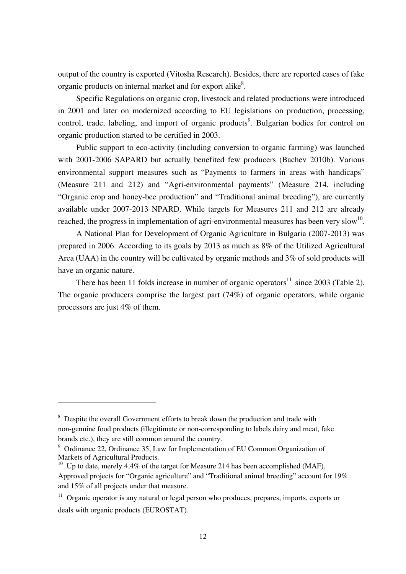output of the country is exported (Vitosha Research). Besides, there are reported cases of fake organic products on internal market and for export alike<sup>8</sup>.

Specific Regulations on organic crop, livestock and related productions were introduced in 2001 and later on modernized according to EU legislations on production, processing, control, trade, labeling, and import of organic products<sup>9</sup>. Bulgarian bodies for control on organic production started to be certified in 2003.

Public support to eco-activity (including conversion to organic farming) was launched with 2001-2006 SAPARD but actually benefited few producers (Bachev 2010b). Various environmental support measures such as "Payments to farmers in areas with handicaps" (Measure 211 and 212) and "Agri-environmental payments" (Measure 214, including "Organic crop and honey-bee production" and "Traditional animal breeding"), are currently available under 2007-2013 NPARD. While targets for Measures 211 and 212 are already reached, the progress in implementation of agri-environmental measures has been very slow<sup>10</sup>.

A National Plan for Development of Organic Agriculture in Bulgaria (2007-2013) was prepared in 2006. According to its goals by 2013 as much as 8% of the Utilized Agricultural Area (UAA) in the country will be cultivated by organic methods and 3% of sold products will have an organic nature.

There has been 11 folds increase in number of organic operators<sup>11</sup> since 2003 (Table 2). The organic producers comprise the largest part (74%) of organic operators, while organic processors are just 4% of them.

<sup>&</sup>lt;sup>8</sup> Despite the overall Government efforts to break down the production and trade with non-genuine food products (illegitimate or non-corresponding to labels dairy and meat, fake brands etc.), they are still common around the country.

<sup>&</sup>lt;sup>9</sup> Ordinance 22, Ordinance 35, Law for Implementation of EU Common Organization of Markets of Agricultural Products.

<sup>&</sup>lt;sup>10</sup> Up to date, merely 4,4% of the target for Measure 214 has been accomplished (MAF). Approved projects for "Organic agriculture" and "Traditional animal breeding" account for 19% and 15% of all projects under that measure.

 $11$  Organic operator is any natural or legal person who produces, prepares, imports, exports or deals with organic products (EUROSTAT).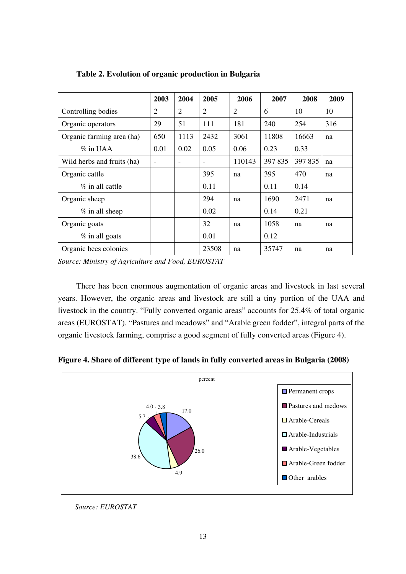|                            | 2003                     | 2004           | 2005           | 2006   | 2007    | 2008    | 2009 |
|----------------------------|--------------------------|----------------|----------------|--------|---------|---------|------|
| Controlling bodies         | $\overline{2}$           | $\overline{2}$ | $\overline{2}$ | 2      | 6       | 10      | 10   |
| Organic operators          | 29                       | 51             | 111            | 181    | 240     | 254     | 316  |
| Organic farming area (ha)  | 650                      | 1113           | 2432           | 3061   | 11808   | 16663   | na   |
| $\%$ in UAA                | 0.01                     | 0.02           | 0.05           | 0.06   | 0.23    | 0.33    |      |
| Wild herbs and fruits (ha) | $\overline{\phantom{0}}$ |                |                | 110143 | 397 835 | 397 835 | na   |
| Organic cattle             |                          |                | 395            | na     | 395     | 470     | na   |
| $\%$ in all cattle         |                          |                | 0.11           |        | 0.11    | 0.14    |      |
| Organic sheep              |                          |                | 294            | na     | 1690    | 2471    | na   |
| $%$ in all sheep           |                          |                | 0.02           |        | 0.14    | 0.21    |      |
| Organic goats              |                          |                | 32             | na     | 1058    | na      | na   |
| $%$ in all goats           |                          |                | 0.01           |        | 0.12    |         |      |
| Organic bees colonies      |                          |                | 23508          | na     | 35747   | na      | na   |

**Table 2. Evolution of organic production in Bulgaria** 

*Source: Ministry of Agriculture and Food, EUROSTAT* 

There has been enormous augmentation of organic areas and livestock in last several years. However, the organic areas and livestock are still a tiny portion of the UAA and livestock in the country. "Fully converted organic areas" accounts for 25.4% of total organic areas (EUROSTAT). "Pastures and meadows" and "Arable green fodder", integral parts of the organic livestock farming, comprise a good segment of fully converted areas (Figure 4).

**Figure 4. Share of different type of lands in fully converted areas in Bulgaria (2008)** 



*Source: EUROSTAT*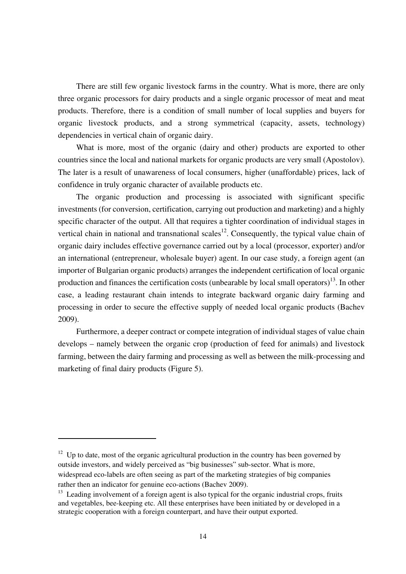There are still few organic livestock farms in the country. What is more, there are only three organic processors for dairy products and a single organic processor of meat and meat products. Therefore, there is a condition of small number of local supplies and buyers for organic livestock products, and a strong symmetrical (capacity, assets, technology) dependencies in vertical chain of organic dairy.

What is more, most of the organic (dairy and other) products are exported to other countries since the local and national markets for organic products are very small (Apostolov). The later is a result of unawareness of local consumers, higher (unaffordable) prices, lack of confidence in truly organic character of available products etc.

The organic production and processing is associated with significant specific investments (for conversion, certification, carrying out production and marketing) and a highly specific character of the output. All that requires a tighter coordination of individual stages in vertical chain in national and transnational scales<sup>12</sup>. Consequently, the typical value chain of organic dairy includes effective governance carried out by a local (processor, exporter) and/or an international (entrepreneur, wholesale buyer) agent. In our case study, a foreign agent (an importer of Bulgarian organic products) arranges the independent certification of local organic production and finances the certification costs (unbearable by local small operators)<sup>13</sup>. In other case, a leading restaurant chain intends to integrate backward organic dairy farming and processing in order to secure the effective supply of needed local organic products (Bachev 2009).

Furthermore, a deeper contract or compete integration of individual stages of value chain develops – namely between the organic crop (production of feed for animals) and livestock farming, between the dairy farming and processing as well as between the milk-processing and marketing of final dairy products (Figure 5).

 $12$  Up to date, most of the organic agricultural production in the country has been governed by outside investors, and widely perceived as "big businesses" sub-sector. What is more, widespread eco-labels are often seeing as part of the marketing strategies of big companies rather then an indicator for genuine eco-actions (Bachev 2009).

 $13$  Leading involvement of a foreign agent is also typical for the organic industrial crops, fruits and vegetables, bee-keeping etc. All these enterprises have been initiated by or developed in a strategic cooperation with a foreign counterpart, and have their output exported.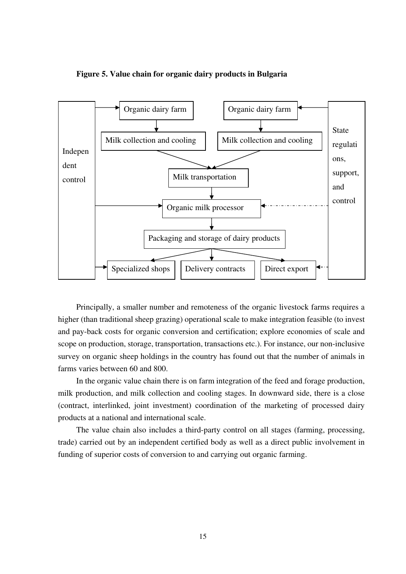

#### **Figure 5. Value chain for organic dairy products in Bulgaria**

Principally, a smaller number and remoteness of the organic livestock farms requires a higher (than traditional sheep grazing) operational scale to make integration feasible (to invest and pay-back costs for organic conversion and certification; explore economies of scale and scope on production, storage, transportation, transactions etc.). For instance, our non-inclusive survey on organic sheep holdings in the country has found out that the number of animals in farms varies between 60 and 800.

In the organic value chain there is on farm integration of the feed and forage production, milk production, and milk collection and cooling stages. In downward side, there is a close (contract, interlinked, joint investment) coordination of the marketing of processed dairy products at a national and international scale.

The value chain also includes a third-party control on all stages (farming, processing, trade) carried out by an independent certified body as well as a direct public involvement in funding of superior costs of conversion to and carrying out organic farming.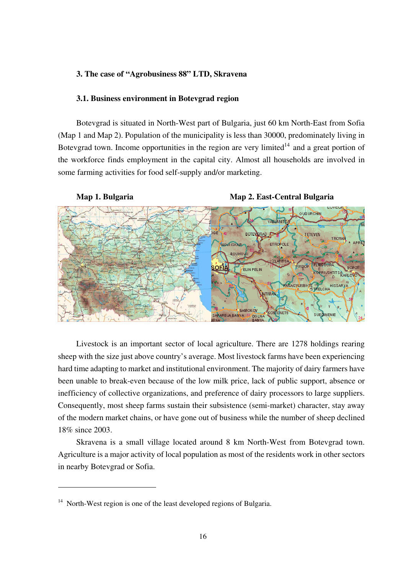#### **3. The case of "Agrobusiness 88" LTD, Skravena**

#### **3.1. Business environment in Botevgrad region**

Botevgrad is situated in North-West part of Bulgaria, just 60 km North-East from Sofia (Map 1 and Map 2). Population of the municipality is less than 30000, predominately living in Botevgrad town. Income opportunities in the region are very limited<sup>14</sup> and a great portion of the workforce finds employment in the capital city. Almost all households are involved in some farming activities for food self-supply and/or marketing.



Livestock is an important sector of local agriculture. There are 1278 holdings rearing sheep with the size just above country's average. Most livestock farms have been experiencing hard time adapting to market and institutional environment. The majority of dairy farmers have been unable to break-even because of the low milk price, lack of public support, absence or inefficiency of collective organizations, and preference of dairy processors to large suppliers. Consequently, most sheep farms sustain their subsistence (semi-market) character, stay away of the modern market chains, or have gone out of business while the number of sheep declined 18% since 2003.

Skravena is a small village located around 8 km North-West from Botevgrad town. Agriculture is a major activity of local population as most of the residents work in other sectors in nearby Botevgrad or Sofia.

<sup>&</sup>lt;sup>14</sup> North-West region is one of the least developed regions of Bulgaria.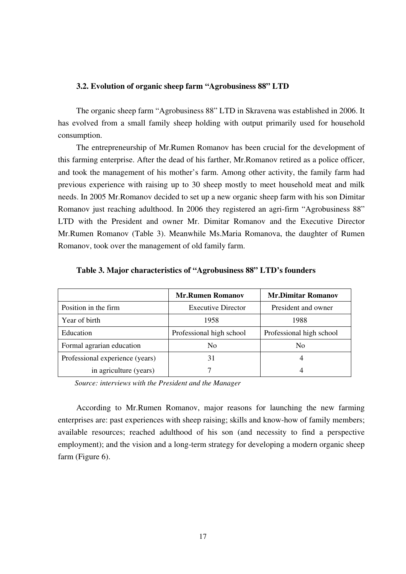#### **3.2. Evolution of organic sheep farm "Agrobusiness 88" LTD**

The organic sheep farm "Agrobusiness 88" LTD in Skravena was established in 2006. It has evolved from a small family sheep holding with output primarily used for household consumption.

The entrepreneurship of Mr.Rumen Romanov has been crucial for the development of this farming enterprise. After the dead of his farther, Mr.Romanov retired as a police officer, and took the management of his mother's farm. Among other activity, the family farm had previous experience with raising up to 30 sheep mostly to meet household meat and milk needs. In 2005 Mr.Romanov decided to set up a new organic sheep farm with his son Dimitar Romanov just reaching adulthood. In 2006 they registered an agri-firm "Agrobusiness 88" LTD with the President and owner Mr. Dimitar Romanov and the Executive Director Mr.Rumen Romanov (Table 3). Meanwhile Ms.Maria Romanova, the daughter of Rumen Romanov, took over the management of old family farm.

|                                 | <b>Mr.Rumen Romanov</b>   | <b>Mr.Dimitar Romanov</b> |
|---------------------------------|---------------------------|---------------------------|
| Position in the firm            | <b>Executive Director</b> | President and owner       |
| Year of birth                   | 1958                      | 1988                      |
| Education                       | Professional high school  | Professional high school  |
| Formal agrarian education       | N <sub>0</sub>            | N <sub>0</sub>            |
| Professional experience (years) | 31                        |                           |
| in agriculture (years)          |                           |                           |

|  | Table 3. Major characteristics of "Agrobusiness 88" LTD's founders |  |
|--|--------------------------------------------------------------------|--|
|  |                                                                    |  |

*Source: interviews with the President and the Manager* 

According to Mr.Rumen Romanov, major reasons for launching the new farming enterprises are: past experiences with sheep raising; skills and know-how of family members; available resources; reached adulthood of his son (and necessity to find a perspective employment); and the vision and a long-term strategy for developing a modern organic sheep farm (Figure 6).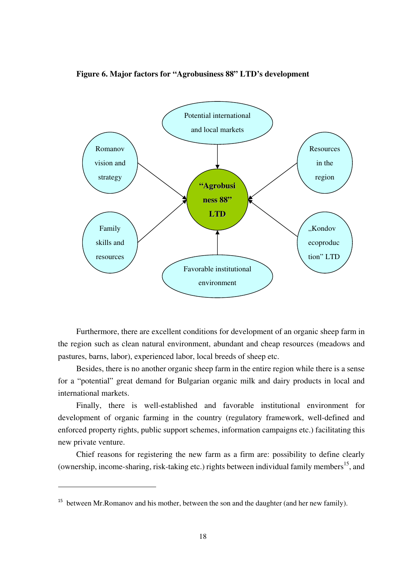



Furthermore, there are excellent conditions for development of an organic sheep farm in the region such as clean natural environment, abundant and cheap resources (meadows and pastures, barns, labor), experienced labor, local breeds of sheep etc.

Besides, there is no another organic sheep farm in the entire region while there is a sense for a "potential" great demand for Bulgarian organic milk and dairy products in local and international markets.

Finally, there is well-established and favorable institutional environment for development of organic farming in the country (regulatory framework, well-defined and enforced property rights, public support schemes, information campaigns etc.) facilitating this new private venture.

Chief reasons for registering the new farm as a firm are: possibility to define clearly (ownership, income-sharing, risk-taking etc.) rights between individual family members<sup>15</sup>, and

<sup>&</sup>lt;sup>15</sup> between Mr. Romanov and his mother, between the son and the daughter (and her new family).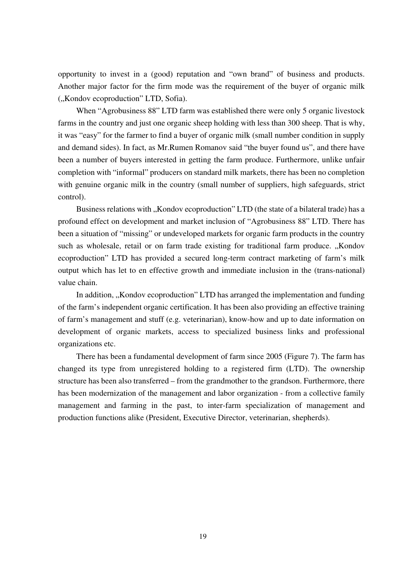opportunity to invest in a (good) reputation and "own brand" of business and products. Another major factor for the firm mode was the requirement of the buyer of organic milk ("Kondov ecoproduction" LTD, Sofia).

When "Agrobusiness 88" LTD farm was established there were only 5 organic livestock farms in the country and just one organic sheep holding with less than 300 sheep. That is why, it was "easy" for the farmer to find a buyer of organic milk (small number condition in supply and demand sides). In fact, as Mr.Rumen Romanov said "the buyer found us", and there have been a number of buyers interested in getting the farm produce. Furthermore, unlike unfair completion with "informal" producers on standard milk markets, there has been no completion with genuine organic milk in the country (small number of suppliers, high safeguards, strict control).

Business relations with "Kondov ecoproduction" LTD (the state of a bilateral trade) has a profound effect on development and market inclusion of "Agrobusiness 88" LTD. There has been a situation of "missing" or undeveloped markets for organic farm products in the country such as wholesale, retail or on farm trade existing for traditional farm produce. "Kondov ecoproduction" LTD has provided a secured long-term contract marketing of farm's milk output which has let to en effective growth and immediate inclusion in the (trans-national) value chain.

In addition, "Kondov ecoproduction" LTD has arranged the implementation and funding of the farm's independent organic certification. It has been also providing an effective training of farm's management and stuff (e.g. veterinarian), know-how and up to date information on development of organic markets, access to specialized business links and professional organizations etc.

There has been a fundamental development of farm since 2005 (Figure 7). The farm has changed its type from unregistered holding to a registered firm (LTD). The ownership structure has been also transferred – from the grandmother to the grandson. Furthermore, there has been modernization of the management and labor organization - from a collective family management and farming in the past, to inter-farm specialization of management and production functions alike (President, Executive Director, veterinarian, shepherds).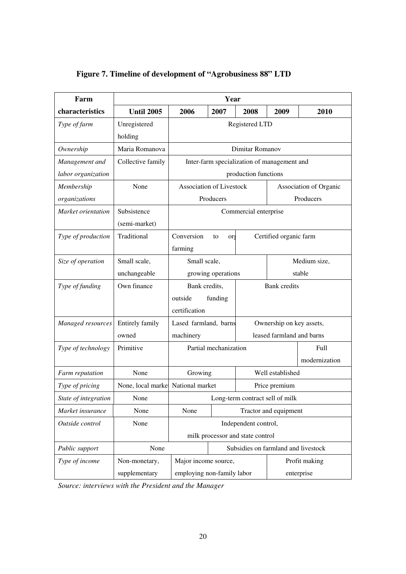| Farm                 |                                   | Year                                     |                       |                                             |                           |                        |  |
|----------------------|-----------------------------------|------------------------------------------|-----------------------|---------------------------------------------|---------------------------|------------------------|--|
| characteristics      | <b>Until 2005</b>                 | 2006                                     | 2007                  | 2008                                        | 2009                      | 2010                   |  |
| Type of farm         | Unregistered                      | Registered LTD                           |                       |                                             |                           |                        |  |
|                      | holding                           |                                          |                       |                                             |                           |                        |  |
| Ownership            | Maria Romanova                    |                                          | Dimitar Romanov       |                                             |                           |                        |  |
| Management and       | Collective family                 |                                          |                       | Inter-farm specialization of management and |                           |                        |  |
| labor organization   |                                   |                                          |                       | production functions                        |                           |                        |  |
| Membership           | None                              | <b>Association of Livestock</b>          |                       |                                             |                           | Association of Organic |  |
| organizations        |                                   |                                          | Producers             |                                             |                           | Producers              |  |
| Market orientation   | Subsistence                       |                                          |                       | Commercial enterprise                       |                           |                        |  |
|                      | (semi-market)                     |                                          |                       |                                             |                           |                        |  |
| Type of production   | Traditional                       | Conversion                               | to<br>or              |                                             | Certified organic farm    |                        |  |
|                      |                                   | farming                                  |                       |                                             |                           |                        |  |
| Size of operation    | Small scale,                      | Small scale,                             |                       | Medium size,                                |                           |                        |  |
|                      | unchangeable                      |                                          | growing operations    |                                             |                           | stable                 |  |
| Type of funding      | Own finance                       | <b>Bank</b> credits<br>Bank credits,     |                       |                                             |                           |                        |  |
|                      |                                   | outside                                  | funding               |                                             |                           |                        |  |
|                      |                                   | certification                            |                       |                                             |                           |                        |  |
| Managed resources    | Entirely family                   | Lased farmland, barns                    |                       |                                             | Ownership on key assets,  |                        |  |
|                      | owned                             | machinery                                |                       |                                             | leased farmland and barns |                        |  |
| Type of technology   | Primitive                         |                                          | Partial mechanization |                                             |                           | Full                   |  |
|                      |                                   |                                          |                       |                                             |                           | modernization          |  |
| Farm reputation      | None                              | Growing                                  |                       |                                             | Well established          |                        |  |
| Type of pricing      | None, local marke National market |                                          |                       |                                             | Price premium             |                        |  |
| State of integration | None                              |                                          |                       | Long-term contract sell of milk             |                           |                        |  |
| Market insurance     | None                              | None<br>Tractor and equipment            |                       |                                             |                           |                        |  |
| Outside control      | None                              | Independent control,                     |                       |                                             |                           |                        |  |
|                      |                                   | milk processor and state control         |                       |                                             |                           |                        |  |
| Public support       | None                              |                                          |                       | Subsidies on farmland and livestock         |                           |                        |  |
| Type of income       | Non-monetary,                     | Major income source,                     |                       |                                             |                           | Profit making          |  |
|                      | supplementary                     | employing non-family labor<br>enterprise |                       |                                             |                           |                        |  |

# **Figure 7. Timeline of development of "Agrobusiness 88" LTD**

*Source: interviews with the President and the Manager*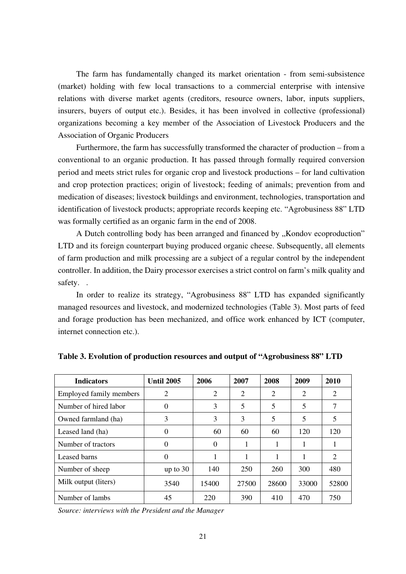The farm has fundamentally changed its market orientation - from semi-subsistence (market) holding with few local transactions to a commercial enterprise with intensive relations with diverse market agents (creditors, resource owners, labor, inputs suppliers, insurers, buyers of output etc.). Besides, it has been involved in collective (professional) organizations becoming a key member of the Association of Livestock Producers and the Association of Organic Producers

Furthermore, the farm has successfully transformed the character of production – from a conventional to an organic production. It has passed through formally required conversion period and meets strict rules for organic crop and livestock productions – for land cultivation and crop protection practices; origin of livestock; feeding of animals; prevention from and medication of diseases; livestock buildings and environment, technologies, transportation and identification of livestock products; appropriate records keeping etc. "Agrobusiness 88" LTD was formally certified as an organic farm in the end of 2008.

A Dutch controlling body has been arranged and financed by "Kondov ecoproduction" LTD and its foreign counterpart buying produced organic cheese. Subsequently, all elements of farm production and milk processing are a subject of a regular control by the independent controller. In addition, the Dairy processor exercises a strict control on farm's milk quality and safety. .

In order to realize its strategy, "Agrobusiness 88" LTD has expanded significantly managed resources and livestock, and modernized technologies (Table 3). Most parts of feed and forage production has been mechanized, and office work enhanced by ICT (computer, internet connection etc.).

| <b>Indicators</b>              | <b>Until 2005</b> | 2006           | 2007  | 2008  | 2009  | 2010           |
|--------------------------------|-------------------|----------------|-------|-------|-------|----------------|
| <b>Employed family members</b> | 2                 | $\overline{2}$ | 2     | 2     | 2     | 2              |
| Number of hired labor          | 0                 | 3              | 5     | 5     | 5     | 7              |
| Owned farmland (ha)            | 3                 | 3              | 3     | 5     | 5     | 5              |
| Leased land (ha)               | 0                 | 60             | 60    | 60    | 120   | 120            |
| Number of tractors             | 0                 | $\Omega$       | 1     |       |       | 1              |
| Leased barns                   | $\theta$          | 1              | 1     | 1     | 1     | $\overline{2}$ |
| Number of sheep                | up to $30$        | 140            | 250   | 260   | 300   | 480            |
| Milk output (liters)           | 3540              | 15400          | 27500 | 28600 | 33000 | 52800          |
| Number of lambs                | 45                | 220            | 390   | 410   | 470   | 750            |

**Table 3. Evolution of production resources and output of "Agrobusiness 88" LTD** 

*Source: interviews with the President and the Manager*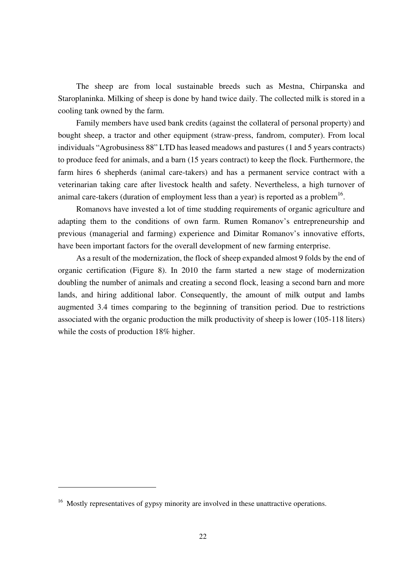The sheep are from local sustainable breeds such as Mestna, Chirpanska and Staroplaninka. Milking of sheep is done by hand twice daily. The collected milk is stored in a cooling tank owned by the farm.

Family members have used bank credits (against the collateral of personal property) and bought sheep, a tractor and other equipment (straw-press, fandrom, computer). From local individuals "Agrobusiness 88" LTD has leased meadows and pastures (1 and 5 years contracts) to produce feed for animals, and a barn (15 years contract) to keep the flock. Furthermore, the farm hires 6 shepherds (animal care-takers) and has a permanent service contract with a veterinarian taking care after livestock health and safety. Nevertheless, a high turnover of animal care-takers (duration of employment less than a year) is reported as a problem<sup>16</sup>.

Romanovs have invested a lot of time studding requirements of organic agriculture and adapting them to the conditions of own farm. Rumen Romanov's entrepreneurship and previous (managerial and farming) experience and Dimitar Romanov's innovative efforts, have been important factors for the overall development of new farming enterprise.

As a result of the modernization, the flock of sheep expanded almost 9 folds by the end of organic certification (Figure 8). In 2010 the farm started a new stage of modernization doubling the number of animals and creating a second flock, leasing a second barn and more lands, and hiring additional labor. Consequently, the amount of milk output and lambs augmented 3.4 times comparing to the beginning of transition period. Due to restrictions associated with the organic production the milk productivity of sheep is lower (105-118 liters) while the costs of production 18% higher.

 $16$  Mostly representatives of gypsy minority are involved in these unattractive operations.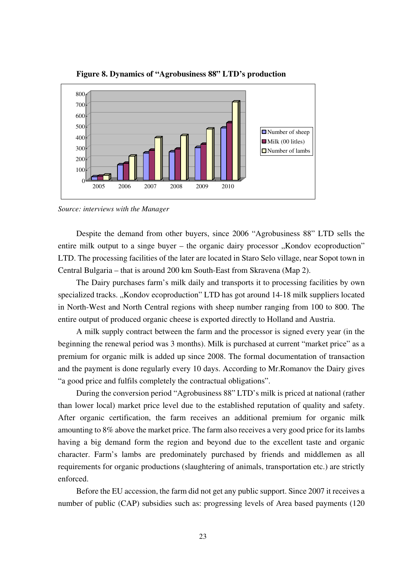

**Figure 8. Dynamics of "Agrobusiness 88" LTD's production** 

*Source: interviews with the Manager* 

Despite the demand from other buyers, since 2006 "Agrobusiness 88" LTD sells the entire milk output to a singe buyer – the organic dairy processor  $,$ Kondov ecoproduction" LTD. The processing facilities of the later are located in Staro Selo village, near Sopot town in Central Bulgaria – that is around 200 km South-East from Skravena (Map 2).

The Dairy purchases farm's milk daily and transports it to processing facilities by own specialized tracks. "Kondov ecoproduction" LTD has got around 14-18 milk suppliers located in North-West and North Central regions with sheep number ranging from 100 to 800. The entire output of produced organic cheese is exported directly to Holland and Austria.

A milk supply contract between the farm and the processor is signed every year (in the beginning the renewal period was 3 months). Milk is purchased at current "market price" as a premium for organic milk is added up since 2008. The formal documentation of transaction and the payment is done regularly every 10 days. According to Mr.Romanov the Dairy gives "a good price and fulfils completely the contractual obligations".

During the conversion period "Agrobusiness 88" LTD's milk is priced at national (rather than lower local) market price level due to the established reputation of quality and safety. After organic certification, the farm receives an additional premium for organic milk amounting to 8% above the market price. The farm also receives a very good price for its lambs having a big demand form the region and beyond due to the excellent taste and organic character. Farm's lambs are predominately purchased by friends and middlemen as all requirements for organic productions (slaughtering of animals, transportation etc.) are strictly enforced.

Before the EU accession, the farm did not get any public support. Since 2007 it receives a number of public (CAP) subsidies such as: progressing levels of Area based payments (120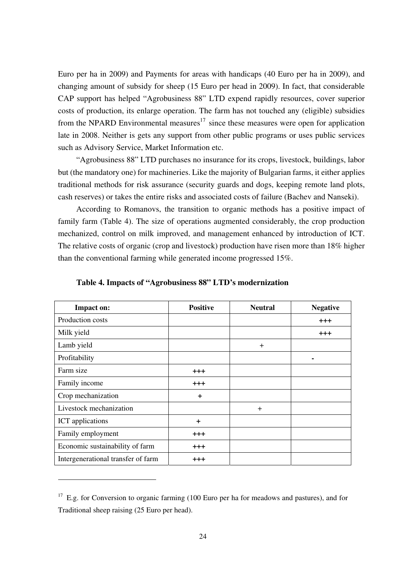Euro per ha in 2009) and Payments for areas with handicaps (40 Euro per ha in 2009), and changing amount of subsidy for sheep (15 Euro per head in 2009). In fact, that considerable CAP support has helped "Agrobusiness 88" LTD expend rapidly resources, cover superior costs of production, its enlarge operation. The farm has not touched any (eligible) subsidies from the NPARD Environmental measures<sup>17</sup> since these measures were open for application late in 2008. Neither is gets any support from other public programs or uses public services such as Advisory Service, Market Information etc.

"Agrobusiness 88" LTD purchases no insurance for its crops, livestock, buildings, labor but (the mandatory one) for machineries. Like the majority of Bulgarian farms, it either applies traditional methods for risk assurance (security guards and dogs, keeping remote land plots, cash reserves) or takes the entire risks and associated costs of failure (Bachev and Nanseki).

According to Romanovs, the transition to organic methods has a positive impact of family farm (Table 4). The size of operations augmented considerably, the crop production mechanized, control on milk improved, and management enhanced by introduction of ICT. The relative costs of organic (crop and livestock) production have risen more than 18% higher than the conventional farming while generated income progressed 15%.

| Impact on:                         | <b>Positive</b> | <b>Neutral</b> | <b>Negative</b> |
|------------------------------------|-----------------|----------------|-----------------|
| Production costs                   |                 |                | $+++$           |
| Milk yield                         |                 |                | $+ + +$         |
| Lamb yield                         |                 | $^{+}$         |                 |
| Profitability                      |                 |                |                 |
| Farm size                          | $+ + +$         |                |                 |
| Family income                      | $+ + +$         |                |                 |
| Crop mechanization                 | $\ddot{}$       |                |                 |
| Livestock mechanization            |                 | $^{+}$         |                 |
| ICT applications                   | $\ddot{}$       |                |                 |
| Family employment                  | $^{+++}$        |                |                 |
| Economic sustainability of farm    | $^{+++}$        |                |                 |
| Intergenerational transfer of farm | $+ + +$         |                |                 |

**Table 4. Impacts of "Agrobusiness 88" LTD's modernization** 

 $17$  E.g. for Conversion to organic farming (100 Euro per ha for meadows and pastures), and for Traditional sheep raising (25 Euro per head).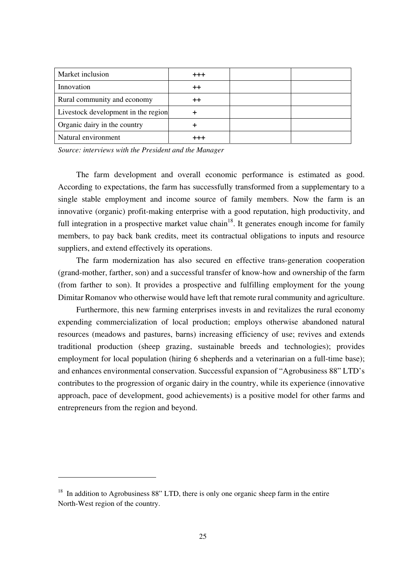| Market inclusion                    | $^{+++}$ |  |
|-------------------------------------|----------|--|
| Innovation                          | ++       |  |
| Rural community and economy         | ++       |  |
| Livestock development in the region |          |  |
| Organic dairy in the country        |          |  |
| Natural environment                 |          |  |

*Source: interviews with the President and the Manager* 

The farm development and overall economic performance is estimated as good. According to expectations, the farm has successfully transformed from a supplementary to a single stable employment and income source of family members. Now the farm is an innovative (organic) profit-making enterprise with a good reputation, high productivity, and full integration in a prospective market value chain<sup>18</sup>. It generates enough income for family members, to pay back bank credits, meet its contractual obligations to inputs and resource suppliers, and extend effectively its operations.

The farm modernization has also secured en effective trans-generation cooperation (grand-mother, farther, son) and a successful transfer of know-how and ownership of the farm (from farther to son). It provides a prospective and fulfilling employment for the young Dimitar Romanov who otherwise would have left that remote rural community and agriculture.

Furthermore, this new farming enterprises invests in and revitalizes the rural economy expending commercialization of local production; employs otherwise abandoned natural resources (meadows and pastures, barns) increasing efficiency of use; revives and extends traditional production (sheep grazing, sustainable breeds and technologies); provides employment for local population (hiring 6 shepherds and a veterinarian on a full-time base); and enhances environmental conservation. Successful expansion of "Agrobusiness 88" LTD's contributes to the progression of organic dairy in the country, while its experience (innovative approach, pace of development, good achievements) is a positive model for other farms and entrepreneurs from the region and beyond.

 $18$  In addition to Agrobusiness 88" LTD, there is only one organic sheep farm in the entire North-West region of the country.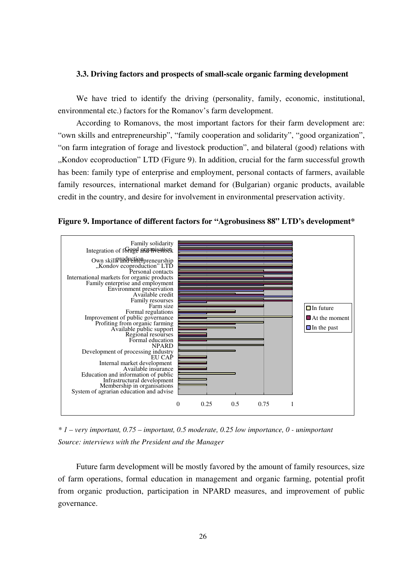#### **3.3. Driving factors and prospects of small-scale organic farming development**

We have tried to identify the driving (personality, family, economic, institutional, environmental etc.) factors for the Romanov's farm development.

According to Romanovs, the most important factors for their farm development are: "own skills and entrepreneurship", "family cooperation and solidarity", "good organization", "on farm integration of forage and livestock production", and bilateral (good) relations with "Kondov ecoproduction" LTD (Figure 9). In addition, crucial for the farm successful growth has been: family type of enterprise and employment, personal contacts of farmers, available family resources, international market demand for (Bulgarian) organic products, available credit in the country, and desire for involvement in environmental preservation activity.

**Figure 9. Importance of different factors for "Agrobusiness 88" LTD's development\*** 



*\* 1 – very important, 0.75 – important, 0.5 moderate, 0.25 low importance, 0 - unimportant Source: interviews with the President and the Manager*

Future farm development will be mostly favored by the amount of family resources, size of farm operations, formal education in management and organic farming, potential profit from organic production, participation in NPARD measures, and improvement of public governance.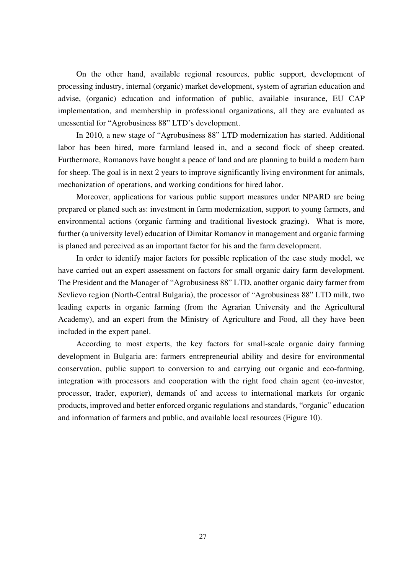On the other hand, available regional resources, public support, development of processing industry, internal (organic) market development, system of agrarian education and advise, (organic) education and information of public, available insurance, EU CAP implementation, and membership in professional organizations, all they are evaluated as unessential for "Agrobusiness 88" LTD's development.

In 2010, a new stage of "Agrobusiness 88" LTD modernization has started. Additional labor has been hired, more farmland leased in, and a second flock of sheep created. Furthermore, Romanovs have bought a peace of land and are planning to build a modern barn for sheep. The goal is in next 2 years to improve significantly living environment for animals, mechanization of operations, and working conditions for hired labor.

Moreover, applications for various public support measures under NPARD are being prepared or planed such as: investment in farm modernization, support to young farmers, and environmental actions (organic farming and traditional livestock grazing). What is more, further (a university level) education of Dimitar Romanov in management and organic farming is planed and perceived as an important factor for his and the farm development.

In order to identify major factors for possible replication of the case study model, we have carried out an expert assessment on factors for small organic dairy farm development. The President and the Manager of "Agrobusiness 88" LTD, another organic dairy farmer from Sevlievo region (North-Central Bulgaria), the processor of "Agrobusiness 88" LTD milk, two leading experts in organic farming (from the Agrarian University and the Agricultural Academy), and an expert from the Ministry of Agriculture and Food, all they have been included in the expert panel.

According to most experts, the key factors for small-scale organic dairy farming development in Bulgaria are: farmers entrepreneurial ability and desire for environmental conservation, public support to conversion to and carrying out organic and eco-farming, integration with processors and cooperation with the right food chain agent (co-investor, processor, trader, exporter), demands of and access to international markets for organic products, improved and better enforced organic regulations and standards, "organic" education and information of farmers and public, and available local resources (Figure 10).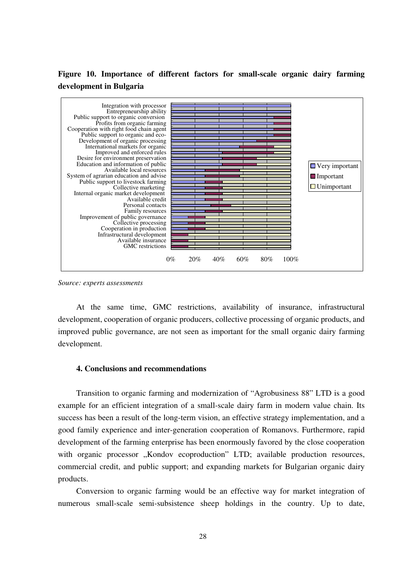### **Figure 10. Importance of different factors for small-scale organic dairy farming development in Bulgaria**



*Source: experts assessments*

At the same time, GMC restrictions, availability of insurance, infrastructural development, cooperation of organic producers, collective processing of organic products, and improved public governance, are not seen as important for the small organic dairy farming development.

#### **4. Conclusions and recommendations**

Transition to organic farming and modernization of "Agrobusiness 88" LTD is a good example for an efficient integration of a small-scale dairy farm in modern value chain. Its success has been a result of the long-term vision, an effective strategy implementation, and a good family experience and inter-generation cooperation of Romanovs. Furthermore, rapid development of the farming enterprise has been enormously favored by the close cooperation with organic processor "Kondov ecoproduction" LTD; available production resources, commercial credit, and public support; and expanding markets for Bulgarian organic dairy products.

Conversion to organic farming would be an effective way for market integration of numerous small-scale semi-subsistence sheep holdings in the country. Up to date,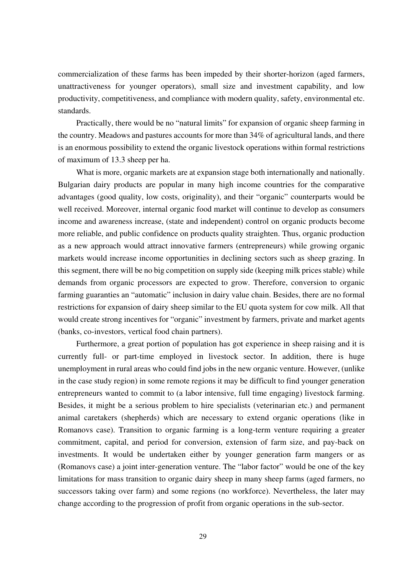commercialization of these farms has been impeded by their shorter-horizon (aged farmers, unattractiveness for younger operators), small size and investment capability, and low productivity, competitiveness, and compliance with modern quality, safety, environmental etc. standards.

Practically, there would be no "natural limits" for expansion of organic sheep farming in the country. Meadows and pastures accounts for more than 34% of agricultural lands, and there is an enormous possibility to extend the organic livestock operations within formal restrictions of maximum of 13.3 sheep per ha.

What is more, organic markets are at expansion stage both internationally and nationally. Bulgarian dairy products are popular in many high income countries for the comparative advantages (good quality, low costs, originality), and their "organic" counterparts would be well received. Moreover, internal organic food market will continue to develop as consumers income and awareness increase, (state and independent) control on organic products become more reliable, and public confidence on products quality straighten. Thus, organic production as a new approach would attract innovative farmers (entrepreneurs) while growing organic markets would increase income opportunities in declining sectors such as sheep grazing. In this segment, there will be no big competition on supply side (keeping milk prices stable) while demands from organic processors are expected to grow. Therefore, conversion to organic farming guaranties an "automatic" inclusion in dairy value chain. Besides, there are no formal restrictions for expansion of dairy sheep similar to the EU quota system for cow milk. All that would create strong incentives for "organic" investment by farmers, private and market agents (banks, co-investors, vertical food chain partners).

Furthermore, a great portion of population has got experience in sheep raising and it is currently full- or part-time employed in livestock sector. In addition, there is huge unemployment in rural areas who could find jobs in the new organic venture. However, (unlike in the case study region) in some remote regions it may be difficult to find younger generation entrepreneurs wanted to commit to (a labor intensive, full time engaging) livestock farming. Besides, it might be a serious problem to hire specialists (veterinarian etc.) and permanent animal caretakers (shepherds) which are necessary to extend organic operations (like in Romanovs case). Transition to organic farming is a long-term venture requiring a greater commitment, capital, and period for conversion, extension of farm size, and pay-back on investments. It would be undertaken either by younger generation farm mangers or as (Romanovs case) a joint inter-generation venture. The "labor factor" would be one of the key limitations for mass transition to organic dairy sheep in many sheep farms (aged farmers, no successors taking over farm) and some regions (no workforce). Nevertheless, the later may change according to the progression of profit from organic operations in the sub-sector.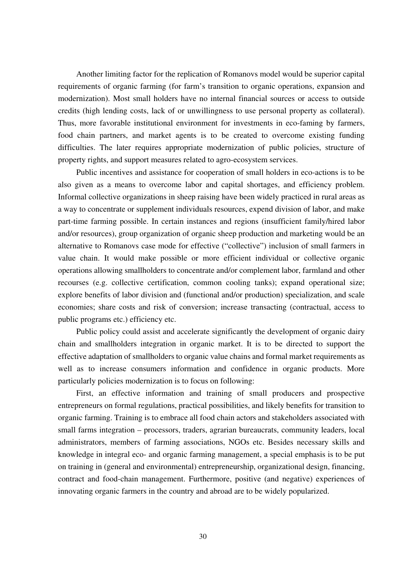Another limiting factor for the replication of Romanovs model would be superior capital requirements of organic farming (for farm's transition to organic operations, expansion and modernization). Most small holders have no internal financial sources or access to outside credits (high lending costs, lack of or unwillingness to use personal property as collateral). Thus, more favorable institutional environment for investments in eco-faming by farmers, food chain partners, and market agents is to be created to overcome existing funding difficulties. The later requires appropriate modernization of public policies, structure of property rights, and support measures related to agro-ecosystem services.

Public incentives and assistance for cooperation of small holders in eco-actions is to be also given as a means to overcome labor and capital shortages, and efficiency problem. Informal collective organizations in sheep raising have been widely practiced in rural areas as a way to concentrate or supplement individuals resources, expend division of labor, and make part-time farming possible. In certain instances and regions (insufficient family/hired labor and/or resources), group organization of organic sheep production and marketing would be an alternative to Romanovs case mode for effective ("collective") inclusion of small farmers in value chain. It would make possible or more efficient individual or collective organic operations allowing smallholders to concentrate and/or complement labor, farmland and other recourses (e.g. collective certification, common cooling tanks); expand operational size; explore benefits of labor division and (functional and/or production) specialization, and scale economies; share costs and risk of conversion; increase transacting (contractual, access to public programs etc.) efficiency etc.

Public policy could assist and accelerate significantly the development of organic dairy chain and smallholders integration in organic market. It is to be directed to support the effective adaptation of smallholders to organic value chains and formal market requirements as well as to increase consumers information and confidence in organic products. More particularly policies modernization is to focus on following:

First, an effective information and training of small producers and prospective entrepreneurs on formal regulations, practical possibilities, and likely benefits for transition to organic farming. Training is to embrace all food chain actors and stakeholders associated with small farms integration – processors, traders, agrarian bureaucrats, community leaders, local administrators, members of farming associations, NGOs etc. Besides necessary skills and knowledge in integral eco- and organic farming management, a special emphasis is to be put on training in (general and environmental) entrepreneurship, organizational design, financing, contract and food-chain management. Furthermore, positive (and negative) experiences of innovating organic farmers in the country and abroad are to be widely popularized.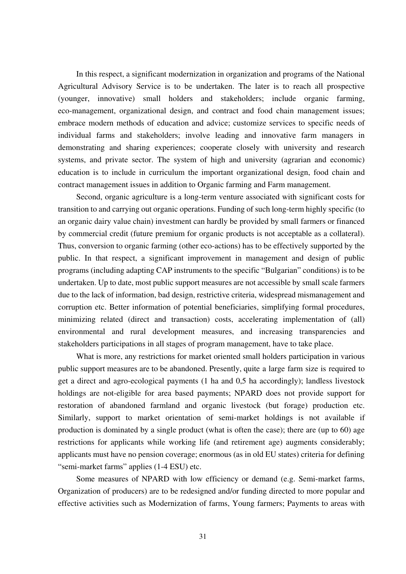In this respect, a significant modernization in organization and programs of the National Agricultural Advisory Service is to be undertaken. The later is to reach all prospective (younger, innovative) small holders and stakeholders; include organic farming, eco-management, organizational design, and contract and food chain management issues; embrace modern methods of education and advice; customize services to specific needs of individual farms and stakeholders; involve leading and innovative farm managers in demonstrating and sharing experiences; cooperate closely with university and research systems, and private sector. The system of high and university (agrarian and economic) education is to include in curriculum the important organizational design, food chain and contract management issues in addition to Organic farming and Farm management.

Second, organic agriculture is a long-term venture associated with significant costs for transition to and carrying out organic operations. Funding of such long-term highly specific (to an organic dairy value chain) investment can hardly be provided by small farmers or financed by commercial credit (future premium for organic products is not acceptable as a collateral). Thus, conversion to organic farming (other eco-actions) has to be effectively supported by the public. In that respect, a significant improvement in management and design of public programs (including adapting CAP instruments to the specific "Bulgarian" conditions) is to be undertaken. Up to date, most public support measures are not accessible by small scale farmers due to the lack of information, bad design, restrictive criteria, widespread mismanagement and corruption etc. Better information of potential beneficiaries, simplifying formal procedures, minimizing related (direct and transaction) costs, accelerating implementation of (all) environmental and rural development measures, and increasing transparencies and stakeholders participations in all stages of program management, have to take place.

What is more, any restrictions for market oriented small holders participation in various public support measures are to be abandoned. Presently, quite a large farm size is required to get a direct and agro-ecological payments (1 ha and 0,5 ha accordingly); landless livestock holdings are not-eligible for area based payments; NPARD does not provide support for restoration of abandoned farmland and organic livestock (but forage) production etc. Similarly, support to market orientation of semi-market holdings is not available if production is dominated by a single product (what is often the case); there are (up to 60) age restrictions for applicants while working life (and retirement age) augments considerably; applicants must have no pension coverage; enormous (as in old EU states) criteria for defining "semi-market farms" applies (1-4 ESU) etc.

Some measures of NPARD with low efficiency or demand (e.g. Semi-market farms, Organization of producers) are to be redesigned and/or funding directed to more popular and effective activities such as Modernization of farms, Young farmers; Payments to areas with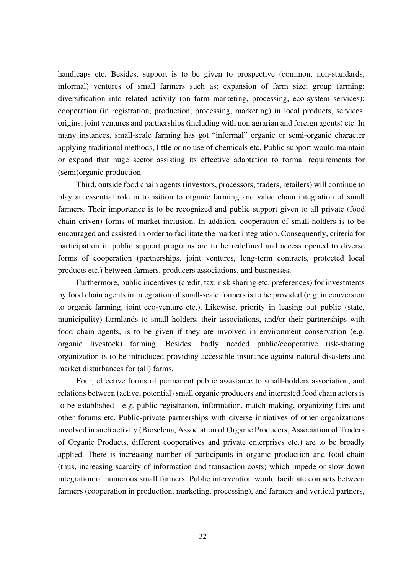handicaps etc. Besides, support is to be given to prospective (common, non-standards, informal) ventures of small farmers such as: expansion of farm size; group farming; diversification into related activity (on farm marketing, processing, eco-system services); cooperation (in registration, production, processing, marketing) in local products, services, origins; joint ventures and partnerships (including with non agrarian and foreign agents) etc. In many instances, small-scale farming has got "informal" organic or semi-organic character applying traditional methods, little or no use of chemicals etc. Public support would maintain or expand that huge sector assisting its effective adaptation to formal requirements for (semi)organic production.

Third, outside food chain agents (investors, processors, traders, retailers) will continue to play an essential role in transition to organic farming and value chain integration of small farmers. Their importance is to be recognized and public support given to all private (food chain driven) forms of market inclusion. In addition, cooperation of small-holders is to be encouraged and assisted in order to facilitate the market integration. Consequently, criteria for participation in public support programs are to be redefined and access opened to diverse forms of cooperation (partnerships, joint ventures, long-term contracts, protected local products etc.) between farmers, producers associations, and businesses.

Furthermore, public incentives (credit, tax, risk sharing etc. preferences) for investments by food chain agents in integration of small-scale framers is to be provided (e.g. in conversion to organic farming, joint eco-venture etc.). Likewise, priority in leasing out public (state, municipality) farmlands to small holders, their associations, and/or their partnerships with food chain agents, is to be given if they are involved in environment conservation (e.g. organic livestock) farming. Besides, badly needed public/cooperative risk-sharing organization is to be introduced providing accessible insurance against natural disasters and market disturbances for (all) farms.

Four, effective forms of permanent public assistance to small-holders association, and relations between (active, potential) small organic producers and interested food chain actors is to be established - e.g. public registration, information, match-making, organizing fairs and other forums etc. Public-private partnerships with diverse initiatives of other organizations involved in such activity (Bioselena, Association of Organic Producers, Association of Traders of Organic Products, different cooperatives and private enterprises etc.) are to be broadly applied. There is increasing number of participants in organic production and food chain (thus, increasing scarcity of information and transaction costs) which impede or slow down integration of numerous small farmers. Public intervention would facilitate contacts between farmers (cooperation in production, marketing, processing), and farmers and vertical partners,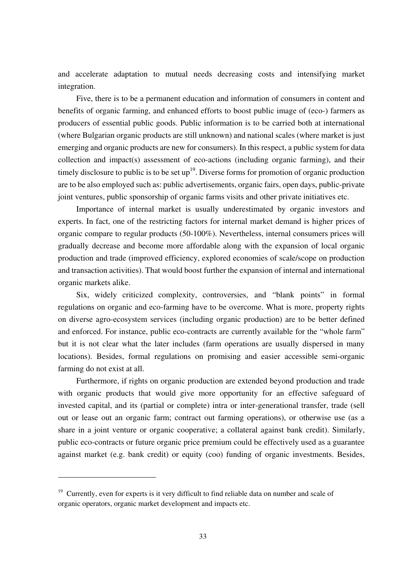and accelerate adaptation to mutual needs decreasing costs and intensifying market integration.

Five, there is to be a permanent education and information of consumers in content and benefits of organic farming, and enhanced efforts to boost public image of (eco-) farmers as producers of essential public goods. Public information is to be carried both at international (where Bulgarian organic products are still unknown) and national scales (where market is just emerging and organic products are new for consumers). In this respect, a public system for data collection and impact(s) assessment of eco-actions (including organic farming), and their timely disclosure to public is to be set  $up<sup>19</sup>$ . Diverse forms for promotion of organic production are to be also employed such as: public advertisements, organic fairs, open days, public-private joint ventures, public sponsorship of organic farms visits and other private initiatives etc.

Importance of internal market is usually underestimated by organic investors and experts. In fact, one of the restricting factors for internal market demand is higher prices of organic compare to regular products (50-100%). Nevertheless, internal consumers prices will gradually decrease and become more affordable along with the expansion of local organic production and trade (improved efficiency, explored economies of scale/scope on production and transaction activities). That would boost further the expansion of internal and international organic markets alike.

Six, widely criticized complexity, controversies, and "blank points" in formal regulations on organic and eco-farming have to be overcome. What is more, property rights on diverse agro-ecosystem services (including organic production) are to be better defined and enforced. For instance, public eco-contracts are currently available for the "whole farm" but it is not clear what the later includes (farm operations are usually dispersed in many locations). Besides, formal regulations on promising and easier accessible semi-organic farming do not exist at all.

Furthermore, if rights on organic production are extended beyond production and trade with organic products that would give more opportunity for an effective safeguard of invested capital, and its (partial or complete) intra or inter-generational transfer, trade (sell out or lease out an organic farm; contract out farming operations), or otherwise use (as a share in a joint venture or organic cooperative; a collateral against bank credit). Similarly, public eco-contracts or future organic price premium could be effectively used as a guarantee against market (e.g. bank credit) or equity (coo) funding of organic investments. Besides,

<sup>&</sup>lt;sup>19</sup> Currently, even for experts is it very difficult to find reliable data on number and scale of organic operators, organic market development and impacts etc.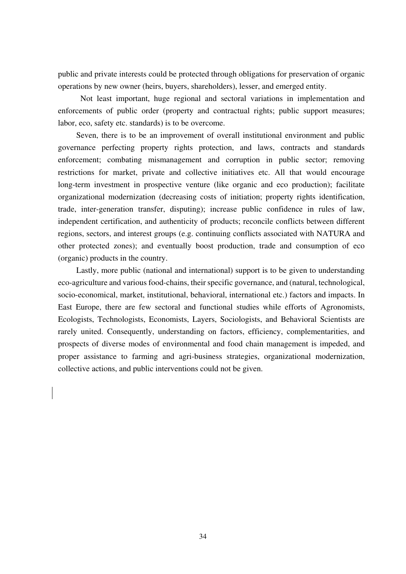public and private interests could be protected through obligations for preservation of organic operations by new owner (heirs, buyers, shareholders), lesser, and emerged entity.

 Not least important, huge regional and sectoral variations in implementation and enforcements of public order (property and contractual rights; public support measures; labor, eco, safety etc. standards) is to be overcome.

Seven, there is to be an improvement of overall institutional environment and public governance perfecting property rights protection, and laws, contracts and standards enforcement; combating mismanagement and corruption in public sector; removing restrictions for market, private and collective initiatives etc. All that would encourage long-term investment in prospective venture (like organic and eco production); facilitate organizational modernization (decreasing costs of initiation; property rights identification, trade, inter-generation transfer, disputing); increase public confidence in rules of law, independent certification, and authenticity of products; reconcile conflicts between different regions, sectors, and interest groups (e.g. continuing conflicts associated with NATURA and other protected zones); and eventually boost production, trade and consumption of eco (organic) products in the country.

Lastly, more public (national and international) support is to be given to understanding eco-agriculture and various food-chains, their specific governance, and (natural, technological, socio-economical, market, institutional, behavioral, international etc.) factors and impacts. In East Europe, there are few sectoral and functional studies while efforts of Agronomists, Ecologists, Technologists, Economists, Layers, Sociologists, and Behavioral Scientists are rarely united. Consequently, understanding on factors, efficiency, complementarities, and prospects of diverse modes of environmental and food chain management is impeded, and proper assistance to farming and agri-business strategies, organizational modernization, collective actions, and public interventions could not be given.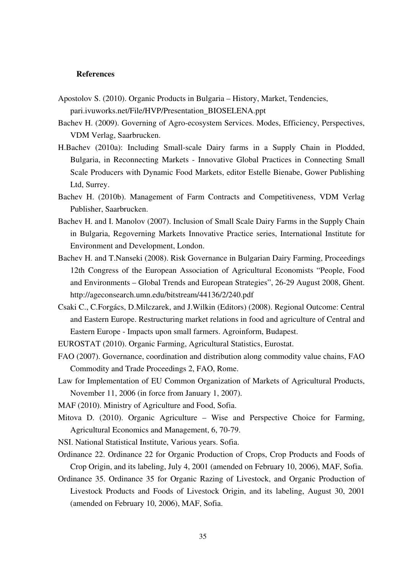#### **References**

- Apostolov S. (2010). Organic Products in Bulgaria History, Market, Tendencies, pari.ivuworks.net/File/HVP/Presentation\_BIOSELENA.ppt
- Bachev H. (2009). Governing of Agro-ecosystem Services. Modes, Efficiency, Perspectives, VDM Verlag, Saarbrucken.
- H.Bachev (2010a): Including Small-scale Dairy farms in a Supply Chain in Plodded, Bulgaria, in Reconnecting Markets - Innovative Global Practices in Connecting Small Scale Producers with Dynamic Food Markets, editor Estelle Bienabe, Gower Publishing Ltd, Surrey.
- Bachev H. (2010b). Management of Farm Contracts and Competitiveness, VDM Verlag Publisher, Saarbrucken.
- Bachev H. and I. Manolov (2007). Inclusion of Small Scale Dairy Farms in the Supply Chain in Bulgaria, Regoverning Markets Innovative Practice series, International Institute for Environment and Development, London.
- Bachev H. and T.Nanseki (2008). Risk Governance in Bulgarian Dairy Farming, Proceedings 12th Congress of the European Association of Agricultural Economists "People, Food and Environments – Global Trends and European Strategies", 26-29 August 2008, Ghent. http://ageconsearch.umn.edu/bitstream/44136/2/240.pdf
- Csaki C., C.Forgács, D.Milczarek, and J.Wilkin (Editors) (2008). Regional Outcome: Central and Eastern Europe. Restructuring market relations in food and agriculture of Central and Eastern Europe - Impacts upon small farmers. Agroinform, Budapest.

EUROSTAT (2010). Organic Farming, Agricultural Statistics, Eurostat.

FAO (2007). Governance, coordination and distribution along commodity value chains, FAO Commodity and Trade Proceedings 2, FAO, Rome.

Law for Implementation of EU Common Organization of Markets of Agricultural Products, November 11, 2006 (in force from January 1, 2007).

MAF (2010). Ministry of Agriculture and Food, Sofia.

Mitova D. (2010). Organic Agriculture – Wise and Perspective Choice for Farming, Agricultural Economics and Management, 6, 70-79.

NSI. National Statistical Institute, Various years. Sofia.

Ordinance 22. Ordinance 22 for Organic Production of Crops, Crop Products and Foods of Crop Origin, and its labeling, July 4, 2001 (amended on February 10, 2006), MAF, Sofia.

Ordinance 35. Ordinance 35 for Organic Razing of Livestock, and Organic Production of Livestock Products and Foods of Livestock Origin, and its labeling, August 30, 2001 (amended on February 10, 2006), MAF, Sofia.